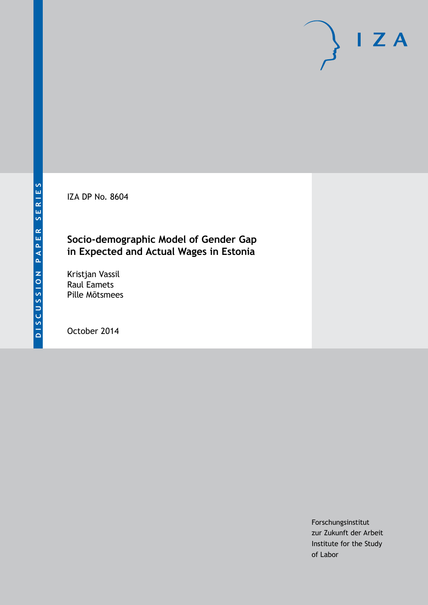IZA DP No. 8604

# **Socio-demographic Model of Gender Gap in Expected and Actual Wages in Estonia**

Kristjan Vassil Raul Eamets Pille Mõtsmees

October 2014

Forschungsinstitut zur Zukunft der Arbeit Institute for the Study of Labor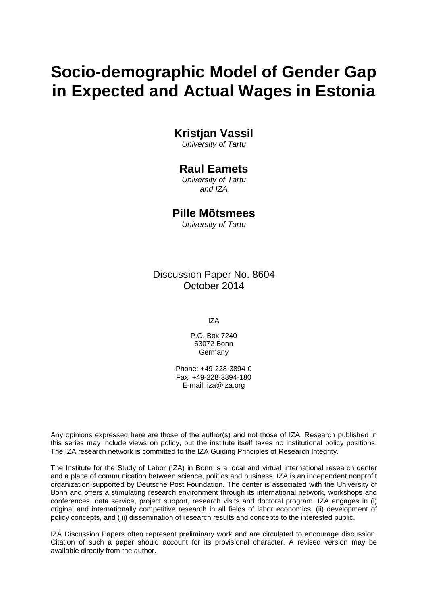# **Socio-demographic Model of Gender Gap in Expected and Actual Wages in Estonia**

## **Kristjan Vassil**

*University of Tartu*

### **Raul Eamets**

*University of Tartu and IZA*

### **Pille Mõtsmees**

*University of Tartu*

Discussion Paper No. 8604 October 2014

IZA

P.O. Box 7240 53072 Bonn Germany

Phone: +49-228-3894-0 Fax: +49-228-3894-180 E-mail: [iza@iza.org](mailto:iza@iza.org)

Any opinions expressed here are those of the author(s) and not those of IZA. Research published in this series may include views on policy, but the institute itself takes no institutional policy positions. The IZA research network is committed to the IZA Guiding Principles of Research Integrity.

The Institute for the Study of Labor (IZA) in Bonn is a local and virtual international research center and a place of communication between science, politics and business. IZA is an independent nonprofit organization supported by Deutsche Post Foundation. The center is associated with the University of Bonn and offers a stimulating research environment through its international network, workshops and conferences, data service, project support, research visits and doctoral program. IZA engages in (i) original and internationally competitive research in all fields of labor economics, (ii) development of policy concepts, and (iii) dissemination of research results and concepts to the interested public.

IZA Discussion Papers often represent preliminary work and are circulated to encourage discussion. Citation of such a paper should account for its provisional character. A revised version may be available directly from the author.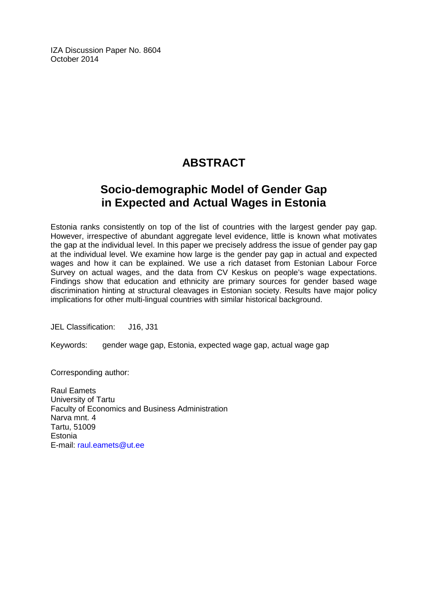IZA Discussion Paper No. 8604 October 2014

# **ABSTRACT**

# **Socio-demographic Model of Gender Gap in Expected and Actual Wages in Estonia**

Estonia ranks consistently on top of the list of countries with the largest gender pay gap. However, irrespective of abundant aggregate level evidence, little is known what motivates the gap at the individual level. In this paper we precisely address the issue of gender pay gap at the individual level. We examine how large is the gender pay gap in actual and expected wages and how it can be explained. We use a rich dataset from Estonian Labour Force Survey on actual wages, and the data from CV Keskus on people's wage expectations. Findings show that education and ethnicity are primary sources for gender based wage discrimination hinting at structural cleavages in Estonian society. Results have major policy implications for other multi-lingual countries with similar historical background.

JEL Classification: J16, J31

Keywords: gender wage gap, Estonia, expected wage gap, actual wage gap

Corresponding author:

Raul Eamets University of Tartu Faculty of Economics and Business Administration Narva mnt. 4 Tartu, 51009 **Estonia** E-mail: [raul.eamets@ut.ee](mailto:raul.eamets@ut.ee)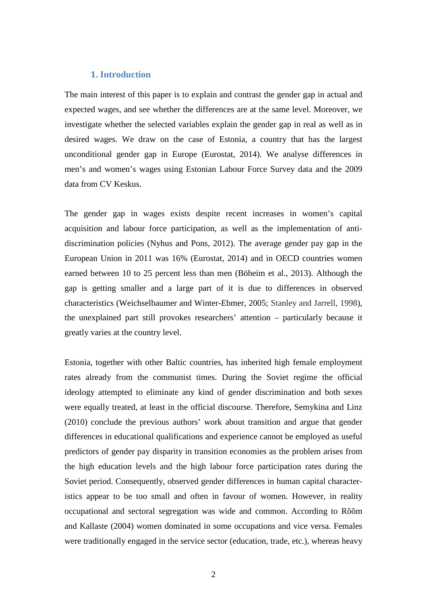#### **1. Introduction**

The main interest of this paper is to explain and contrast the gender gap in actual and expected wages, and see whether the differences are at the same level. Moreover, we investigate whether the selected variables explain the gender gap in real as well as in desired wages. We draw on the case of Estonia, a country that has the largest unconditional gender gap in Europe (Eurostat, 2014). We analyse differences in men's and women's wages using Estonian Labour Force Survey data and the 2009 data from CV Keskus.

The gender gap in wages exists despite recent increases in women's capital acquisition and labour force participation, as well as the implementation of antidiscrimination policies (Nyhus and Pons, 2012). The average gender pay gap in the European Union in 2011 was 16% (Eurostat, 2014) and in OECD countries women earned between 10 to 25 percent less than men (Böheim et al., 2013). Although the gap is getting smaller and a large part of it is due to differences in observed characteristics (Weichselbaumer and Winter-Ebmer, 2005; Stanley and Jarrell, 1998), the unexplained part still provokes researchers' attention – particularly because it greatly varies at the country level.

Estonia, together with other Baltic countries, has inherited high female employment rates already from the communist times. During the Soviet regime the official ideology attempted to eliminate any kind of gender discrimination and both sexes were equally treated, at least in the official discourse. Therefore, Semykina and Linz (2010) conclude the previous authors' work about transition and argue that gender differences in educational qualifications and experience cannot be employed as useful predictors of gender pay disparity in transition economies as the problem arises from the high education levels and the high labour force participation rates during the Soviet period. Consequently, observed gender differences in human capital characteristics appear to be too small and often in favour of women. However, in reality occupational and sectoral segregation was wide and common. According to Rõõm and Kallaste (2004) women dominated in some occupations and vice versa. Females were traditionally engaged in the service sector (education, trade, etc.), whereas heavy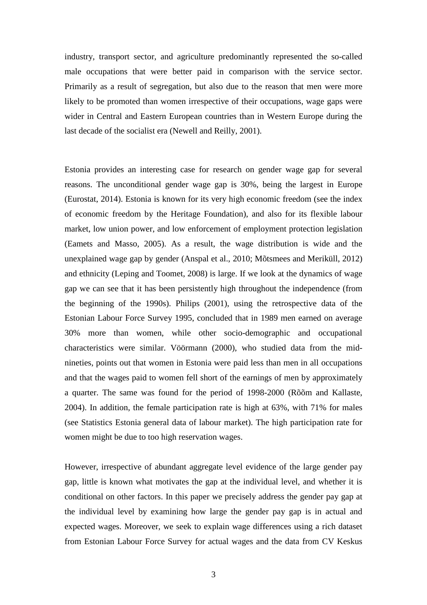industry, transport sector, and agriculture predominantly represented the so-called male occupations that were better paid in comparison with the service sector. Primarily as a result of segregation, but also due to the reason that men were more likely to be promoted than women irrespective of their occupations, wage gaps were wider in Central and Eastern European countries than in Western Europe during the last decade of the socialist era (Newell and Reilly, 2001).

Estonia provides an interesting case for research on gender wage gap for several reasons. The unconditional gender wage gap is 30%, being the largest in Europe (Eurostat, 2014). Estonia is known for its very high economic freedom (see the index of economic freedom by the Heritage Foundation), and also for its flexible labour market, low union power, and low enforcement of employment protection legislation (Eamets and Masso, 2005). As a result, the wage distribution is wide and the unexplained wage gap by gender (Anspal et al., 2010; Mõtsmees and Meriküll, 2012) and ethnicity (Leping and Toomet, 2008) is large. If we look at the dynamics of wage gap we can see that it has been persistently high throughout the independence (from the beginning of the 1990s). Philips (2001), using the retrospective data of the Estonian Labour Force Survey 1995, concluded that in 1989 men earned on average 30% more than women, while other socio-demographic and occupational characteristics were similar. Vöörmann (2000), who studied data from the midnineties, points out that women in Estonia were paid less than men in all occupations and that the wages paid to women fell short of the earnings of men by approximately a quarter. The same was found for the period of 1998-2000 (Rõõm and Kallaste, 2004). In addition, the female participation rate is high at 63%, with 71% for males (see Statistics Estonia general data of labour market). The high participation rate for women might be due to too high reservation wages.

However, irrespective of abundant aggregate level evidence of the large gender pay gap, little is known what motivates the gap at the individual level, and whether it is conditional on other factors. In this paper we precisely address the gender pay gap at the individual level by examining how large the gender pay gap is in actual and expected wages. Moreover, we seek to explain wage differences using a rich dataset from Estonian Labour Force Survey for actual wages and the data from CV Keskus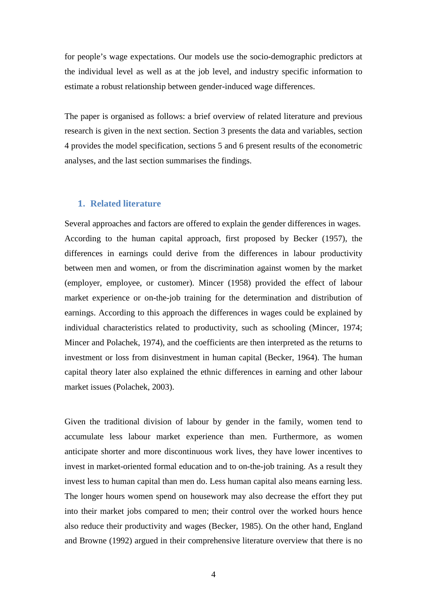for people's wage expectations. Our models use the socio-demographic predictors at the individual level as well as at the job level, and industry specific information to estimate a robust relationship between gender-induced wage differences.

The paper is organised as follows: a brief overview of related literature and previous research is given in the next section. Section 3 presents the data and variables, section 4 provides the model specification, sections 5 and 6 present results of the econometric analyses, and the last section summarises the findings.

#### **1. Related literature**

Several approaches and factors are offered to explain the gender differences in wages. According to the human capital approach, first proposed by Becker (1957), the differences in earnings could derive from the differences in labour productivity between men and women, or from the discrimination against women by the market (employer, employee, or customer). Mincer (1958) provided the effect of labour market experience or on-the-job training for the determination and distribution of earnings. According to this approach the differences in wages could be explained by individual characteristics related to productivity, such as schooling (Mincer, 1974; Mincer and Polachek, 1974), and the coefficients are then interpreted as the returns to investment or loss from disinvestment in human capital (Becker, 1964). The human capital theory later also explained the ethnic differences in earning and other labour market issues (Polachek, 2003).

Given the traditional division of labour by gender in the family, women tend to accumulate less labour market experience than men. Furthermore, as women anticipate shorter and more discontinuous work lives, they have lower incentives to invest in market-oriented formal education and to on-the-job training. As a result they invest less to human capital than men do. Less human capital also means earning less. The longer hours women spend on housework may also decrease the effort they put into their market jobs compared to men; their control over the worked hours hence also reduce their productivity and wages (Becker, 1985). On the other hand, England and Browne (1992) argued in their comprehensive literature overview that there is no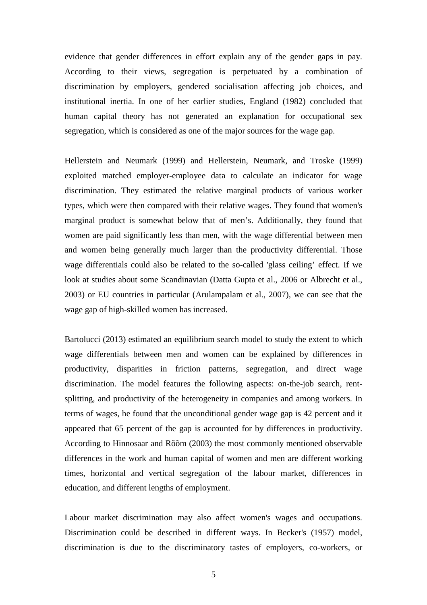evidence that gender differences in effort explain any of the gender gaps in pay. According to their views, segregation is perpetuated by a combination of discrimination by employers, gendered socialisation affecting job choices, and institutional inertia. In one of her earlier studies, England (1982) concluded that human capital theory has not generated an explanation for occupational sex segregation, which is considered as one of the major sources for the wage gap.

Hellerstein and Neumark (1999) and Hellerstein, Neumark, and Troske (1999) exploited matched employer-employee data to calculate an indicator for wage discrimination. They estimated the relative marginal products of various worker types, which were then compared with their relative wages. They found that women's marginal product is somewhat below that of men's. Additionally, they found that women are paid significantly less than men, with the wage differential between men and women being generally much larger than the productivity differential. Those wage differentials could also be related to the so-called 'glass ceiling' effect. If we look at studies about some Scandinavian (Datta Gupta et al., 2006 or Albrecht et al., 2003) or EU countries in particular (Arulampalam et al., 2007), we can see that the wage gap of high-skilled women has increased.

Bartolucci (2013) estimated an equilibrium search model to study the extent to which wage differentials between men and women can be explained by differences in productivity, disparities in friction patterns, segregation, and direct wage discrimination. The model features the following aspects: on-the-job search, rentsplitting, and productivity of the heterogeneity in companies and among workers. In terms of wages, he found that the unconditional gender wage gap is 42 percent and it appeared that 65 percent of the gap is accounted for by differences in productivity. According to Hinnosaar and Rõõm (2003) the most commonly mentioned observable differences in the work and human capital of women and men are different working times, horizontal and vertical segregation of the labour market, differences in education, and different lengths of employment.

Labour market discrimination may also affect women's wages and occupations. Discrimination could be described in different ways. In Becker's (1957) model, discrimination is due to the discriminatory tastes of employers, co-workers, or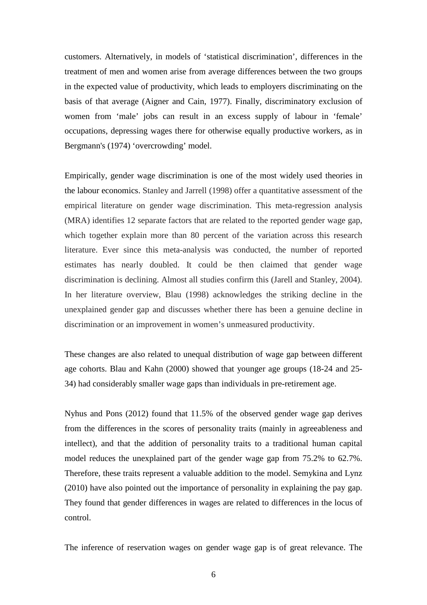customers. Alternatively, in models of 'statistical discrimination', differences in the treatment of men and women arise from average differences between the two groups in the expected value of productivity, which leads to employers discriminating on the basis of that average (Aigner and Cain, 1977). Finally, discriminatory exclusion of women from 'male' jobs can result in an excess supply of labour in 'female' occupations, depressing wages there for otherwise equally productive workers, as in Bergmann's (1974) 'overcrowding' model.

Empirically, gender wage discrimination is one of the most widely used theories in the labour economics. Stanley and Jarrell (1998) offer a quantitative assessment of the empirical literature on gender wage discrimination. This meta-regression analysis (MRA) identifies 12 separate factors that are related to the reported gender wage gap, which together explain more than 80 percent of the variation across this research literature. Ever since this meta-analysis was conducted, the number of reported estimates has nearly doubled. It could be then claimed that gender wage discrimination is declining. Almost all studies confirm this (Jarell and Stanley, 2004). In her literature overview, Blau (1998) acknowledges the striking decline in the unexplained gender gap and discusses whether there has been a genuine decline in discrimination or an improvement in women's unmeasured productivity.

These changes are also related to unequal distribution of wage gap between different age cohorts. Blau and Kahn (2000) showed that younger age groups (18-24 and 25- 34) had considerably smaller wage gaps than individuals in pre-retirement age.

Nyhus and Pons (2012) found that 11.5% of the observed gender wage gap derives from the differences in the scores of personality traits (mainly in agreeableness and intellect), and that the addition of personality traits to a traditional human capital model reduces the unexplained part of the gender wage gap from 75.2% to 62.7%. Therefore, these traits represent a valuable addition to the model. Semykina and Lynz (2010) have also pointed out the importance of personality in explaining the pay gap. They found that gender differences in wages are related to differences in the locus of control.

The inference of reservation wages on gender wage gap is of great relevance. The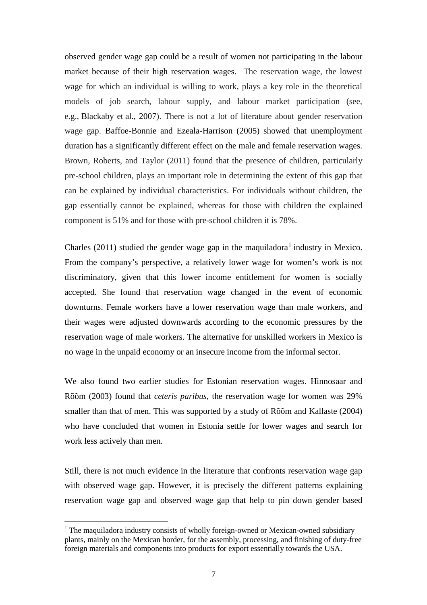observed gender wage gap could be a result of women not participating in the labour market because of their high reservation wages. The reservation wage, the lowest wage for which an individual is willing to work, plays a key role in the theoretical models of job search, labour supply, and labour market participation (see, e.g., Blackaby et al., 2007). There is not a lot of literature about gender reservation wage gap. Baffoe-Bonnie and Ezeala-Harrison (2005) showed that unemployment duration has a significantly different effect on the male and female reservation wages. Brown, Roberts, and Taylor (2011) found that the presence of children, particularly pre-school children, plays an important role in determining the extent of this gap that can be explained by individual characteristics. For individuals without children, the gap essentially cannot be explained, whereas for those with children the explained component is 51% and for those with pre-school children it is 78%.

Charles (20[1](#page-26-0)1) studied the gender wage gap in the maquiladora<sup>1</sup> industry in Mexico. From the company's perspective, a relatively lower wage for women's work is not discriminatory, given that this lower income entitlement for women is socially accepted. She found that reservation wage changed in the event of economic downturns. Female workers have a lower reservation wage than male workers, and their wages were adjusted downwards according to the economic pressures by the reservation wage of male workers. The alternative for unskilled workers in Mexico is no wage in the unpaid economy or an insecure income from the informal sector.

We also found two earlier studies for Estonian reservation wages. Hinnosaar and Rõõm (2003) found that *ceteris paribus*, the reservation wage for women was 29% smaller than that of men. This was supported by a study of Rõõm and Kallaste (2004) who have concluded that women in Estonia settle for lower wages and search for work less actively than men.

Still, there is not much evidence in the literature that confronts reservation wage gap with observed wage gap. However, it is precisely the different patterns explaining reservation wage gap and observed wage gap that help to pin down gender based

<span id="page-8-0"></span><sup>&</sup>lt;sup>1</sup> The maquiladora industry consists of wholly foreign-owned or Mexican-owned subsidiary plants, mainly on the Mexican border, for the assembly, processing, and finishing of duty-free foreign materials and components into products for export essentially towards the USA.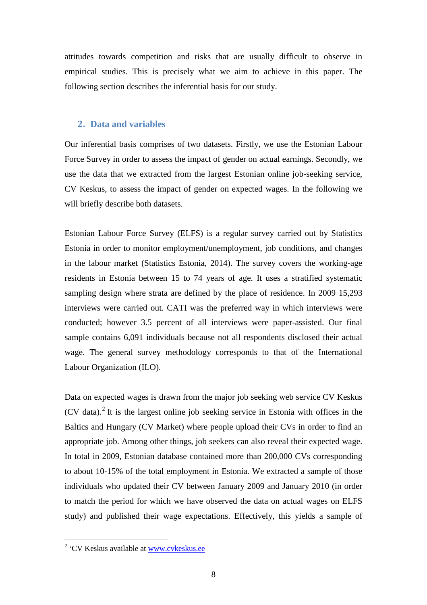attitudes towards competition and risks that are usually difficult to observe in empirical studies. This is precisely what we aim to achieve in this paper. The following section describes the inferential basis for our study.

#### **2. Data and variables**

Our inferential basis comprises of two datasets. Firstly, we use the Estonian Labour Force Survey in order to assess the impact of gender on actual earnings. Secondly, we use the data that we extracted from the largest Estonian online job-seeking service, CV Keskus, to assess the impact of gender on expected wages. In the following we will briefly describe both datasets.

Estonian Labour Force Survey (ELFS) is a regular survey carried out by Statistics Estonia in order to monitor employment/unemployment, job conditions, and changes in the labour market (Statistics Estonia, 2014). The survey covers the working-age residents in Estonia between 15 to 74 years of age. It uses a stratified systematic sampling design where strata are defined by the place of residence. In 2009 15,293 interviews were carried out. CATI was the preferred way in which interviews were conducted; however 3.5 percent of all interviews were paper-assisted. Our final sample contains 6,091 individuals because not all respondents disclosed their actual wage. The general survey methodology corresponds to that of the International Labour Organization (ILO).

Data on expected wages is drawn from the major job seeking web service CV Keskus  $(CV)$  data).<sup>[2](#page-8-0)</sup> It is the largest online job seeking service in Estonia with offices in the Baltics and Hungary (CV Market) where people upload their CVs in order to find an appropriate job. Among other things, job seekers can also reveal their expected wage. In total in 2009, Estonian database contained more than 200,000 CVs corresponding to about 10-15% of the total employment in Estonia. We extracted a sample of those individuals who updated their CV between January 2009 and January 2010 (in order to match the period for which we have observed the data on actual wages on ELFS study) and published their wage expectations. Effectively, this yields a sample of

<span id="page-9-0"></span> <sup>2</sup> 'CV Keskus available at [www.cvkeskus.ee](http://www.cvkeskus.ee/)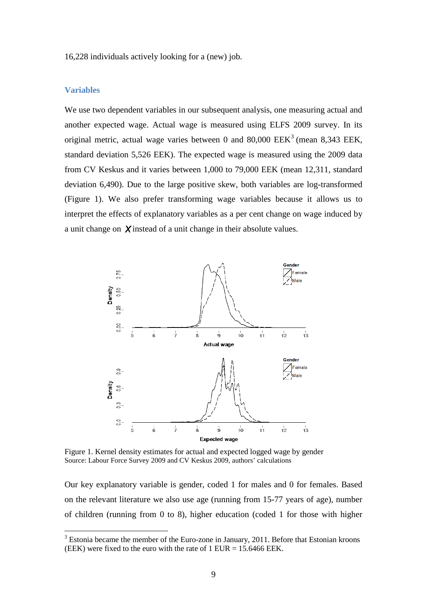16,228 individuals actively looking for a (new) job.

#### **Variables**

We use two dependent variables in our subsequent analysis, one measuring actual and another expected wage. Actual wage is measured using ELFS 2009 survey. In its original metric, actual wage varies between 0 and 80,000  $EEK<sup>3</sup>$  $EEK<sup>3</sup>$  $EEK<sup>3</sup>$  (mean 8,343 EEK, standard deviation 5,526 EEK). The expected wage is measured using the 2009 data from CV Keskus and it varies between 1,000 to 79,000 EEK (mean 12,311, standard deviation 6,490). Due to the large positive skew, both variables are log-transformed (Figure 1). We also prefer transforming wage variables because it allows us to interpret the effects of explanatory variables as a per cent change on wage induced by a unit change on  $\chi$  instead of a unit change in their absolute values.



Figure 1. Kernel density estimates for actual and expected logged wage by gender Source: Labour Force Survey 2009 and CV Keskus 2009, authors' calculations

<span id="page-10-0"></span>Our key explanatory variable is gender, coded 1 for males and 0 for females. Based on the relevant literature we also use age (running from 15-77 years of age), number of children (running from 0 to 8), higher education (coded 1 for those with higher

 $3$  Estonia became the member of the Euro-zone in January, 2011. Before that Estonian kroons (EEK) were fixed to the euro with the rate of  $1$  EUR =  $15.6466$  EEK.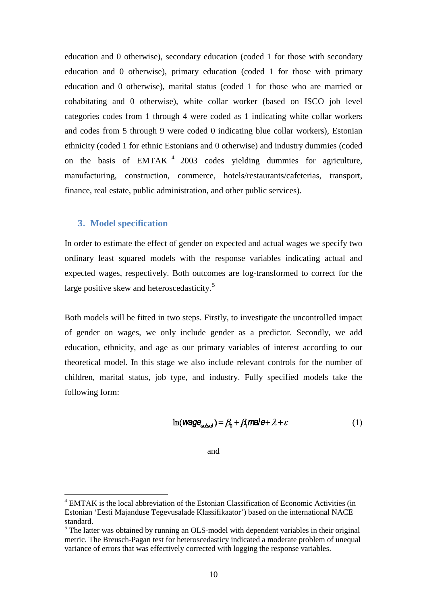education and 0 otherwise), secondary education (coded 1 for those with secondary education and 0 otherwise), primary education (coded 1 for those with primary education and 0 otherwise), marital status (coded 1 for those who are married or cohabitating and 0 otherwise), white collar worker (based on ISCO job level categories codes from 1 through 4 were coded as 1 indicating white collar workers and codes from 5 through 9 were coded 0 indicating blue collar workers), Estonian ethnicity (coded 1 for ethnic Estonians and 0 otherwise) and industry dummies (coded on the basis of EMTAK  $4$  2003 codes yielding dummies for agriculture, manufacturing, construction, commerce, hotels/restaurants/cafeterias, transport, finance, real estate, public administration, and other public services).

#### **3. Model specification**

In order to estimate the effect of gender on expected and actual wages we specify two ordinary least squared models with the response variables indicating actual and expected wages, respectively. Both outcomes are log-transformed to correct for the large positive skew and heteroscedasticity.<sup>[5](#page-11-0)</sup>

Both models will be fitted in two steps. Firstly, to investigate the uncontrolled impact of gender on wages, we only include gender as a predictor. Secondly, we add education, ethnicity, and age as our primary variables of interest according to our theoretical model. In this stage we also include relevant controls for the number of children, marital status, job type, and industry. Fully specified models take the following form:

$$
\ln(\text{Wage}_{\text{actual}}) = \beta_0 + \beta_1 \text{male} + \lambda + \varepsilon \tag{1}
$$

and

 $4$  EMTAK is the local abbreviation of the Estonian Classification of Economic Activities (in Estonian 'Eesti Majanduse Tegevusalade Klassifikaator') based on the international NACE standard.

<span id="page-11-1"></span><span id="page-11-0"></span><sup>&</sup>lt;sup>5</sup> The latter was obtained by running an OLS-model with dependent variables in their original metric. The Breusch-Pagan test for heteroscedasticy indicated a moderate problem of unequal variance of errors that was effectively corrected with logging the response variables.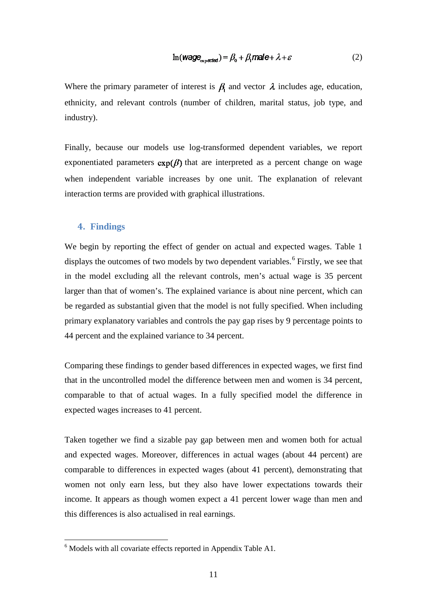$$
\ln(\text{Wage}_{\text{expected}}) = \beta_0 + \beta_1 \text{male} + \lambda + \varepsilon \tag{2}
$$

Where the primary parameter of interest is  $\beta$  and vector  $\lambda$  includes age, education, ethnicity, and relevant controls (number of children, marital status, job type, and industry).

Finally, because our models use log-transformed dependent variables, we report exponentiated parameters  $exp(\beta)$  that are interpreted as a percent change on wage when independent variable increases by one unit. The explanation of relevant interaction terms are provided with graphical illustrations.

#### **4. Findings**

We begin by reporting the effect of gender on actual and expected wages. Table 1 displays the outcomes of two models by two dependent variables.<sup>[6](#page-11-1)</sup> Firstly, we see that in the model excluding all the relevant controls, men's actual wage is 35 percent larger than that of women's. The explained variance is about nine percent, which can be regarded as substantial given that the model is not fully specified. When including primary explanatory variables and controls the pay gap rises by 9 percentage points to 44 percent and the explained variance to 34 percent.

Comparing these findings to gender based differences in expected wages, we first find that in the uncontrolled model the difference between men and women is 34 percent, comparable to that of actual wages. In a fully specified model the difference in expected wages increases to 41 percent.

Taken together we find a sizable pay gap between men and women both for actual and expected wages. Moreover, differences in actual wages (about 44 percent) are comparable to differences in expected wages (about 41 percent), demonstrating that women not only earn less, but they also have lower expectations towards their income. It appears as though women expect a 41 percent lower wage than men and this differences is also actualised in real earnings.

<span id="page-12-0"></span> $6$  Models with all covariate effects reported in Appendix Table A1.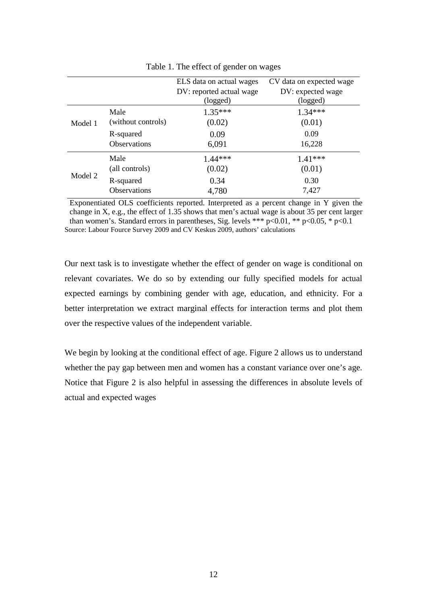|         |                     | ELS data on actual wages | CV data on expected wage |
|---------|---------------------|--------------------------|--------------------------|
|         |                     | DV: reported actual wage | DV: expected wage        |
|         |                     | (logged)                 | (logged)                 |
| Model 1 | Male                | $1.35***$                | $1.34***$                |
|         | (without controls)  | (0.02)                   | (0.01)                   |
|         | R-squared           | 0.09                     | 0.09                     |
|         | Observations        | 6,091                    | 16,228                   |
|         | Male                | $1.44***$                | $1.41***$                |
| Model 2 | (all controls)      | (0.02)                   | (0.01)                   |
|         | R-squared           | 0.34                     | 0.30                     |
|         | <b>Observations</b> | 4,780                    | 7,427                    |

Table 1. The effect of gender on wages

Exponentiated OLS coefficients reported. Interpreted as a percent change in Y given the change in X, e.g., the effect of 1.35 shows that men's actual wage is about 35 per cent larger than women's. Standard errors in parentheses, Sig. levels \*\*\*  $p<0.01$ , \*\*  $p<0.05$ , \*  $p<0.1$ Source: Labour Fource Survey 2009 and CV Keskus 2009, authors' calculations

Our next task is to investigate whether the effect of gender on wage is conditional on relevant covariates. We do so by extending our fully specified models for actual expected earnings by combining gender with age, education, and ethnicity. For a better interpretation we extract marginal effects for interaction terms and plot them over the respective values of the independent variable.

We begin by looking at the conditional effect of age. Figure 2 allows us to understand whether the pay gap between men and women has a constant variance over one's age. Notice that Figure 2 is also helpful in assessing the differences in absolute levels of actual and expected wages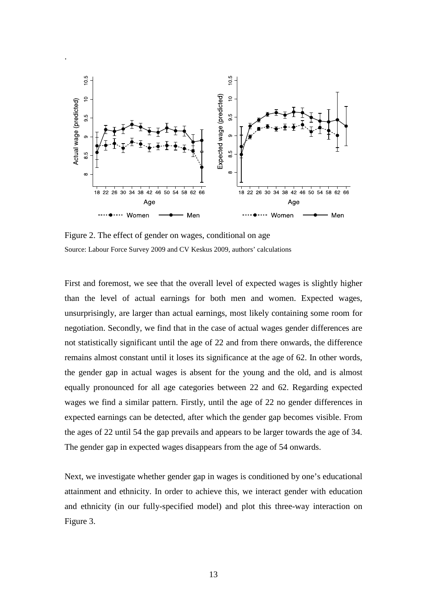

Figure 2. The effect of gender on wages, conditional on age Source: Labour Force Survey 2009 and CV Keskus 2009, authors' calculations

.

First and foremost, we see that the overall level of expected wages is slightly higher than the level of actual earnings for both men and women. Expected wages, unsurprisingly, are larger than actual earnings, most likely containing some room for negotiation. Secondly, we find that in the case of actual wages gender differences are not statistically significant until the age of 22 and from there onwards, the difference remains almost constant until it loses its significance at the age of 62. In other words, the gender gap in actual wages is absent for the young and the old, and is almost equally pronounced for all age categories between 22 and 62. Regarding expected wages we find a similar pattern. Firstly, until the age of 22 no gender differences in expected earnings can be detected, after which the gender gap becomes visible. From the ages of 22 until 54 the gap prevails and appears to be larger towards the age of 34. The gender gap in expected wages disappears from the age of 54 onwards.

Next, we investigate whether gender gap in wages is conditioned by one's educational attainment and ethnicity. In order to achieve this, we interact gender with education and ethnicity (in our fully-specified model) and plot this three-way interaction on Figure 3.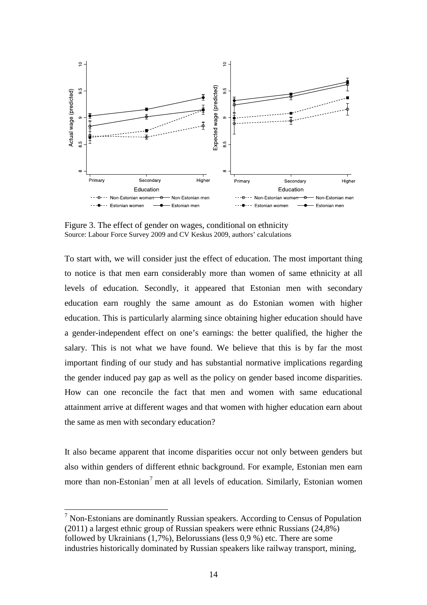

Figure 3. The effect of gender on wages, conditional on ethnicity Source: Labour Force Survey 2009 and CV Keskus 2009, authors' calculations

To start with, we will consider just the effect of education. The most important thing to notice is that men earn considerably more than women of same ethnicity at all levels of education. Secondly, it appeared that Estonian men with secondary education earn roughly the same amount as do Estonian women with higher education. This is particularly alarming since obtaining higher education should have a gender-independent effect on one's earnings: the better qualified, the higher the salary. This is not what we have found. We believe that this is by far the most important finding of our study and has substantial normative implications regarding the gender induced pay gap as well as the policy on gender based income disparities. How can one reconcile the fact that men and women with same educational attainment arrive at different wages and that women with higher education earn about the same as men with secondary education?

It also became apparent that income disparities occur not only between genders but also within genders of different ethnic background. For example, Estonian men earn more than non-Estonian<sup>[7](#page-12-0)</sup> men at all levels of education. Similarly, Estonian women

<span id="page-15-0"></span> $<sup>7</sup>$  Non-Estonians are dominantly Russian speakers. According to Census of Population</sup> (2011) a largest ethnic group of Russian speakers were ethnic Russians (24,8%) followed by Ukrainians (1,7%), Belorussians (less 0,9 %) etc. There are some industries historically dominated by Russian speakers like railway transport, mining,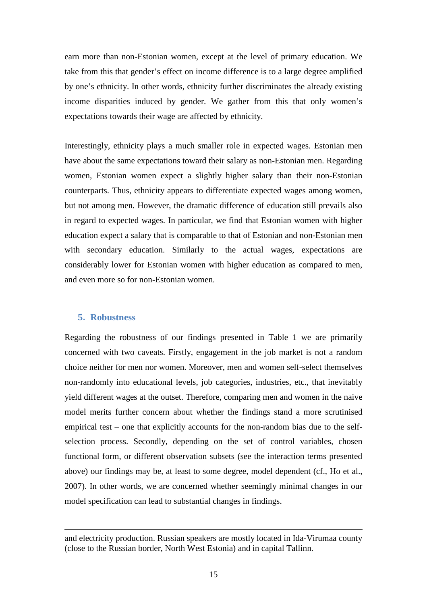earn more than non-Estonian women, except at the level of primary education. We take from this that gender's effect on income difference is to a large degree amplified by one's ethnicity. In other words, ethnicity further discriminates the already existing income disparities induced by gender. We gather from this that only women's expectations towards their wage are affected by ethnicity.

Interestingly, ethnicity plays a much smaller role in expected wages. Estonian men have about the same expectations toward their salary as non-Estonian men. Regarding women, Estonian women expect a slightly higher salary than their non-Estonian counterparts. Thus, ethnicity appears to differentiate expected wages among women, but not among men. However, the dramatic difference of education still prevails also in regard to expected wages. In particular, we find that Estonian women with higher education expect a salary that is comparable to that of Estonian and non-Estonian men with secondary education. Similarly to the actual wages, expectations are considerably lower for Estonian women with higher education as compared to men, and even more so for non-Estonian women.

#### **5. Robustness**

 $\overline{a}$ 

Regarding the robustness of our findings presented in Table 1 we are primarily concerned with two caveats. Firstly, engagement in the job market is not a random choice neither for men nor women. Moreover, men and women self-select themselves non-randomly into educational levels, job categories, industries, etc., that inevitably yield different wages at the outset. Therefore, comparing men and women in the naive model merits further concern about whether the findings stand a more scrutinised empirical test – one that explicitly accounts for the non-random bias due to the selfselection process. Secondly, depending on the set of control variables, chosen functional form, or different observation subsets (see the interaction terms presented above) our findings may be, at least to some degree, model dependent (cf., Ho et al., 2007). In other words, we are concerned whether seemingly minimal changes in our model specification can lead to substantial changes in findings.

and electricity production. Russian speakers are mostly located in Ida-Virumaa county (close to the Russian border, North West Estonia) and in capital Tallinn.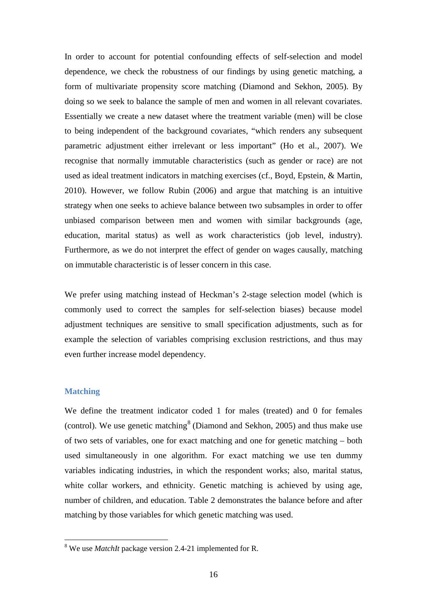In order to account for potential confounding effects of self-selection and model dependence, we check the robustness of our findings by using genetic matching, a form of multivariate propensity score matching (Diamond and Sekhon, 2005). By doing so we seek to balance the sample of men and women in all relevant covariates. Essentially we create a new dataset where the treatment variable (men) will be close to being independent of the background covariates, "which renders any subsequent parametric adjustment either irrelevant or less important" (Ho et al., 2007). We recognise that normally immutable characteristics (such as gender or race) are not used as ideal treatment indicators in matching exercises (cf., Boyd, Epstein, & Martin, 2010). However, we follow Rubin (2006) and argue that matching is an intuitive strategy when one seeks to achieve balance between two subsamples in order to offer unbiased comparison between men and women with similar backgrounds (age, education, marital status) as well as work characteristics (job level, industry). Furthermore, as we do not interpret the effect of gender on wages causally, matching on immutable characteristic is of lesser concern in this case.

We prefer using matching instead of Heckman's 2-stage selection model (which is commonly used to correct the samples for self-selection biases) because model adjustment techniques are sensitive to small specification adjustments, such as for example the selection of variables comprising exclusion restrictions, and thus may even further increase model dependency.

#### **Matching**

We define the treatment indicator coded 1 for males (treated) and 0 for females (control). We use genetic matching<sup>[8](#page-15-0)</sup> (Diamond and Sekhon, 2005) and thus make use of two sets of variables, one for exact matching and one for genetic matching – both used simultaneously in one algorithm. For exact matching we use ten dummy variables indicating industries, in which the respondent works; also, marital status, white collar workers, and ethnicity. Genetic matching is achieved by using age, number of children, and education. Table 2 demonstrates the balance before and after matching by those variables for which genetic matching was used.

<span id="page-17-0"></span> <sup>8</sup> We use *MatchIt* package version 2.4-21 implemented for R.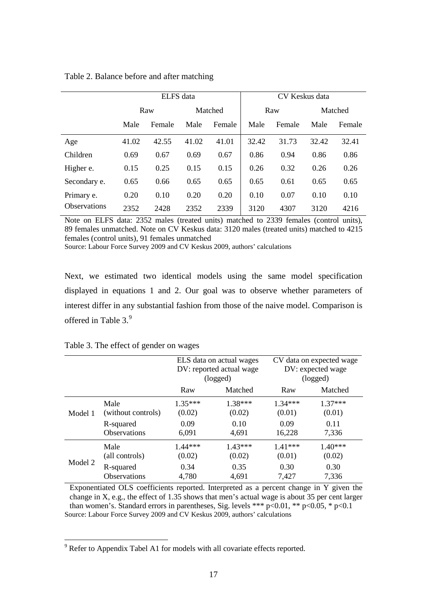|                     | ELFS data |        |         |        | CV Keskus data |        |         |        |
|---------------------|-----------|--------|---------|--------|----------------|--------|---------|--------|
|                     | Raw       |        | Matched |        | Raw            |        | Matched |        |
|                     | Male      | Female | Male    | Female | Male           | Female | Male    | Female |
| Age                 | 41.02     | 42.55  | 41.02   | 41.01  | 32.42          | 31.73  | 32.42   | 32.41  |
| Children            | 0.69      | 0.67   | 0.69    | 0.67   | 0.86           | 0.94   | 0.86    | 0.86   |
| Higher e.           | 0.15      | 0.25   | 0.15    | 0.15   | 0.26           | 0.32   | 0.26    | 0.26   |
| Secondary e.        | 0.65      | 0.66   | 0.65    | 0.65   | 0.65           | 0.61   | 0.65    | 0.65   |
| Primary e.          | 0.20      | 0.10   | 0.20    | 0.20   | 0.10           | 0.07   | 0.10    | 0.10   |
| <b>Observations</b> | 2352      | 2428   | 2352    | 2339   | 3120           | 4307   | 3120    | 4216   |

Table 2. Balance before and after matching

Note on ELFS data: 2352 males (treated units) matched to 2339 females (control units), 89 females unmatched. Note on CV Keskus data: 3120 males (treated units) matched to 4215 females (control units), 91 females unmatched

Source: Labour Force Survey 2009 and CV Keskus 2009, authors' calculations

Next, we estimated two identical models using the same model specification displayed in equations 1 and 2. Our goal was to observe whether parameters of interest differ in any substantial fashion from those of the naive model. Comparison is offered in Table 3.<sup>[9](#page-17-0)</sup>

|         |                                  | ELS data on actual wages<br>DV: reported actual wage<br>(logged) |                     | CV data on expected wage<br>DV: expected wage<br>(logged) |                     |
|---------|----------------------------------|------------------------------------------------------------------|---------------------|-----------------------------------------------------------|---------------------|
|         |                                  | Raw<br>Matched                                                   |                     | Raw                                                       | Matched             |
| Model 1 | Male<br>(without controls)       | $1.35***$<br>(0.02)                                              | $1.38***$<br>(0.02) | $1.34***$<br>(0.01)                                       | $1.37***$<br>(0.01) |
|         | R-squared<br><b>Observations</b> | 0.09<br>6,091                                                    | 0.10<br>4,691       | 0.09<br>16,228                                            | 0.11<br>7,336       |
| Model 2 | Male<br>(all controls)           | $1.44***$<br>(0.02)                                              | $1.43***$<br>(0.02) | $1.41***$<br>(0.01)                                       | $1.40***$<br>(0.02) |
|         | R-squared<br>Observations        | 0.34<br>4,780                                                    | 0.35<br>4,691       | 0.30<br>7,427                                             | 0.30<br>7,336       |

Table 3. The effect of gender on wages

Exponentiated OLS coefficients reported. Interpreted as a percent change in Y given the change in X, e.g., the effect of 1.35 shows that men's actual wage is about 35 per cent larger than women's. Standard errors in parentheses, Sig. levels \*\*\*  $p<0.01$ , \*\*  $p<0.05$ , \*  $p<0.1$ Source: Labour Force Survey 2009 and CV Keskus 2009, authors' calculations

<span id="page-18-0"></span><sup>&</sup>lt;sup>9</sup> Refer to Appendix Tabel A1 for models with all covariate effects reported.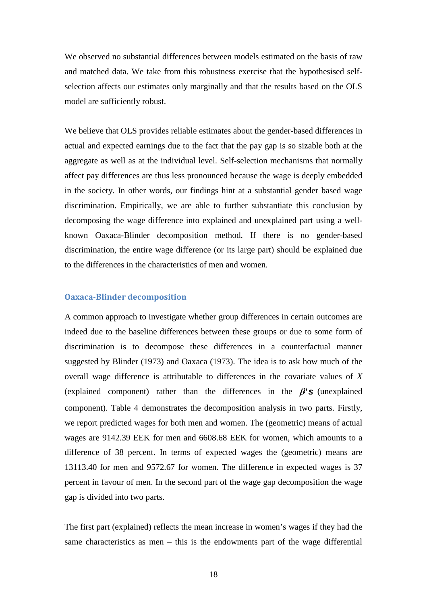We observed no substantial differences between models estimated on the basis of raw and matched data. We take from this robustness exercise that the hypothesised selfselection affects our estimates only marginally and that the results based on the OLS model are sufficiently robust.

We believe that OLS provides reliable estimates about the gender-based differences in actual and expected earnings due to the fact that the pay gap is so sizable both at the aggregate as well as at the individual level. Self-selection mechanisms that normally affect pay differences are thus less pronounced because the wage is deeply embedded in the society. In other words, our findings hint at a substantial gender based wage discrimination. Empirically, we are able to further substantiate this conclusion by decomposing the wage difference into explained and unexplained part using a wellknown Oaxaca-Blinder decomposition method. If there is no gender-based discrimination, the entire wage difference (or its large part) should be explained due to the differences in the characteristics of men and women.

#### **Oaxaca-Blinder decomposition**

A common approach to investigate whether group differences in certain outcomes are indeed due to the baseline differences between these groups or due to some form of discrimination is to decompose these differences in a counterfactual manner suggested by Blinder (1973) and Oaxaca (1973). The idea is to ask how much of the overall wage difference is attributable to differences in the covariate values of *X* (explained component) rather than the differences in the  $\beta$ 'S (unexplained component). Table 4 demonstrates the decomposition analysis in two parts. Firstly, we report predicted wages for both men and women. The (geometric) means of actual wages are 9142.39 EEK for men and 6608.68 EEK for women, which amounts to a difference of 38 percent. In terms of expected wages the (geometric) means are 13113.40 for men and 9572.67 for women. The difference in expected wages is 37 percent in favour of men. In the second part of the wage gap decomposition the wage gap is divided into two parts.

The first part (explained) reflects the mean increase in women's wages if they had the same characteristics as men – this is the endowments part of the wage differential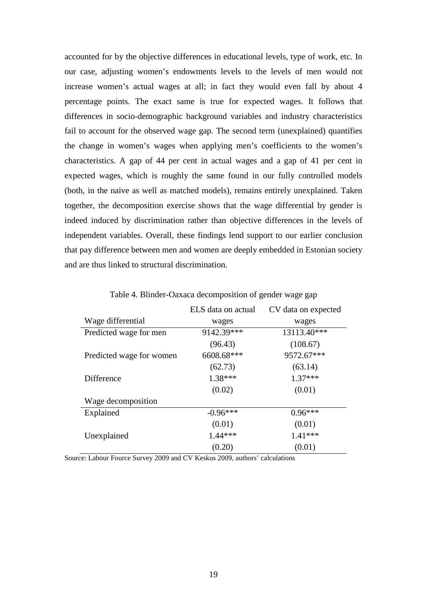accounted for by the objective differences in educational levels, type of work, etc. In our case, adjusting women's endowments levels to the levels of men would not increase women's actual wages at all; in fact they would even fall by about 4 percentage points. The exact same is true for expected wages. It follows that differences in socio-demographic background variables and industry characteristics fail to account for the observed wage gap. The second term (unexplained) quantifies the change in women's wages when applying men's coefficients to the women's characteristics. A gap of 44 per cent in actual wages and a gap of 41 per cent in expected wages, which is roughly the same found in our fully controlled models (both, in the naive as well as matched models), remains entirely unexplained. Taken together, the decomposition exercise shows that the wage differential by gender is indeed induced by discrimination rather than objective differences in the levels of independent variables. Overall, these findings lend support to our earlier conclusion that pay difference between men and women are deeply embedded in Estonian society and are thus linked to structural discrimination.

|                          | ELS data on actual | CV data on expected |
|--------------------------|--------------------|---------------------|
| Wage differential        | wages              | wages               |
| Predicted wage for men   | 9142.39***         | 13113.40***         |
|                          | (96.43)            | (108.67)            |
| Predicted wage for women | 6608.68***         | 9572.67***          |
|                          | (62.73)            | (63.14)             |
| <b>Difference</b>        | $1.38***$          | $1.37***$           |
|                          | (0.02)             | (0.01)              |
| Wage decomposition       |                    |                     |
| Explained                | $-0.96***$         | $0.96***$           |
|                          | (0.01)             | (0.01)              |
| Unexplained              | $1.44***$          | $1.41***$           |
|                          | (0.20)             | (0.01)              |

Table 4. Blinder-Oaxaca decomposition of gender wage gap

Source: Labour Fource Survey 2009 and CV Keskus 2009, authors' calculations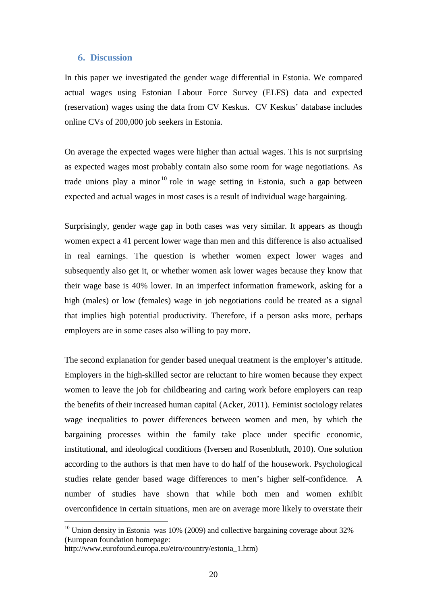#### **6. Discussion**

In this paper we investigated the gender wage differential in Estonia. We compared actual wages using Estonian Labour Force Survey (ELFS) data and expected (reservation) wages using the data from CV Keskus. CV Keskus' database includes online CVs of 200,000 job seekers in Estonia.

On average the expected wages were higher than actual wages. This is not surprising as expected wages most probably contain also some room for wage negotiations. As trade unions play a minor<sup>[10](#page-18-0)</sup> role in wage setting in Estonia, such a gap between expected and actual wages in most cases is a result of individual wage bargaining.

Surprisingly, gender wage gap in both cases was very similar. It appears as though women expect a 41 percent lower wage than men and this difference is also actualised in real earnings. The question is whether women expect lower wages and subsequently also get it, or whether women ask lower wages because they know that their wage base is 40% lower. In an imperfect information framework, asking for a high (males) or low (females) wage in job negotiations could be treated as a signal that implies high potential productivity. Therefore, if a person asks more, perhaps employers are in some cases also willing to pay more.

The second explanation for gender based unequal treatment is the employer's attitude. Employers in the high-skilled sector are reluctant to hire women because they expect women to leave the job for childbearing and caring work before employers can reap the benefits of their increased human capital (Acker, 2011). Feminist sociology relates wage inequalities to power differences between women and men, by which the bargaining processes within the family take place under specific economic, institutional, and ideological conditions (Iversen and Rosenbluth, 2010). One solution according to the authors is that men have to do half of the housework. Psychological studies relate gender based wage differences to men's higher self-confidence. A number of studies have shown that while both men and women exhibit overconfidence in certain situations, men are on average more likely to overstate their

 $10$  Union density in Estonia was 10% (2009) and collective bargaining coverage about 32% (European foundation homepage:

http://www.eurofound.europa.eu/eiro/country/estonia\_1.htm)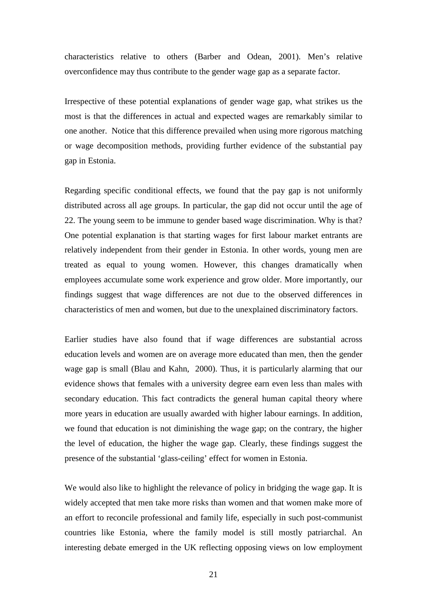characteristics relative to others (Barber and Odean, 2001). Men's relative overconfidence may thus contribute to the gender wage gap as a separate factor.

Irrespective of these potential explanations of gender wage gap, what strikes us the most is that the differences in actual and expected wages are remarkably similar to one another. Notice that this difference prevailed when using more rigorous matching or wage decomposition methods, providing further evidence of the substantial pay gap in Estonia.

Regarding specific conditional effects, we found that the pay gap is not uniformly distributed across all age groups. In particular, the gap did not occur until the age of 22. The young seem to be immune to gender based wage discrimination. Why is that? One potential explanation is that starting wages for first labour market entrants are relatively independent from their gender in Estonia. In other words, young men are treated as equal to young women. However, this changes dramatically when employees accumulate some work experience and grow older. More importantly, our findings suggest that wage differences are not due to the observed differences in characteristics of men and women, but due to the unexplained discriminatory factors.

Earlier studies have also found that if wage differences are substantial across education levels and women are on average more educated than men, then the gender wage gap is small (Blau and Kahn, 2000). Thus, it is particularly alarming that our evidence shows that females with a university degree earn even less than males with secondary education. This fact contradicts the general human capital theory where more years in education are usually awarded with higher labour earnings. In addition, we found that education is not diminishing the wage gap; on the contrary, the higher the level of education, the higher the wage gap. Clearly, these findings suggest the presence of the substantial 'glass-ceiling' effect for women in Estonia.

We would also like to highlight the relevance of policy in bridging the wage gap. It is widely accepted that men take more risks than women and that women make more of an effort to reconcile professional and family life, especially in such post-communist countries like Estonia, where the family model is still mostly patriarchal. An interesting debate emerged in the UK reflecting opposing views on low employment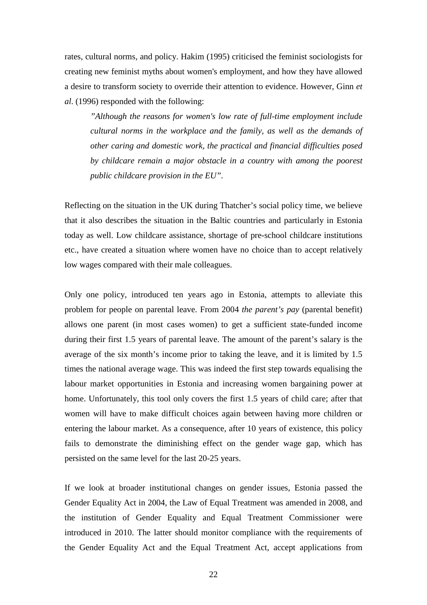rates, cultural norms, and policy. Hakim (1995) criticised the feminist sociologists for creating new feminist myths about women's employment, and how they have allowed a desire to transform society to override their attention to evidence. However, Ginn *et al*. (1996) responded with the following:

*"Although the reasons for women's low rate of full-time employment include cultural norms in the workplace and the family, as well as the demands of other caring and domestic work, the practical and financial difficulties posed by childcare remain a major obstacle in a country with among the poorest public childcare provision in the EU".* 

Reflecting on the situation in the UK during Thatcher's social policy time, we believe that it also describes the situation in the Baltic countries and particularly in Estonia today as well. Low childcare assistance, shortage of pre-school childcare institutions etc., have created a situation where women have no choice than to accept relatively low wages compared with their male colleagues.

Only one policy, introduced ten years ago in Estonia, attempts to alleviate this problem for people on parental leave. From 2004 *the parent's pay* (parental benefit) allows one parent (in most cases women) to get a sufficient state-funded income during their first 1.5 years of parental leave. The amount of the parent's salary is the average of the six month's income prior to taking the leave, and it is limited by 1.5 times the national average wage. This was indeed the first step towards equalising the labour market opportunities in Estonia and increasing women bargaining power at home. Unfortunately, this tool only covers the first 1.5 years of child care; after that women will have to make difficult choices again between having more children or entering the labour market. As a consequence, after 10 years of existence, this policy fails to demonstrate the diminishing effect on the gender wage gap, which has persisted on the same level for the last 20-25 years.

If we look at broader institutional changes on gender issues, Estonia passed the Gender Equality Act in 2004, the Law of Equal Treatment was amended in 2008, and the institution of Gender Equality and Equal Treatment Commissioner were introduced in 2010. The latter should monitor compliance with the requirements of the Gender Equality Act and the Equal Treatment Act, accept applications from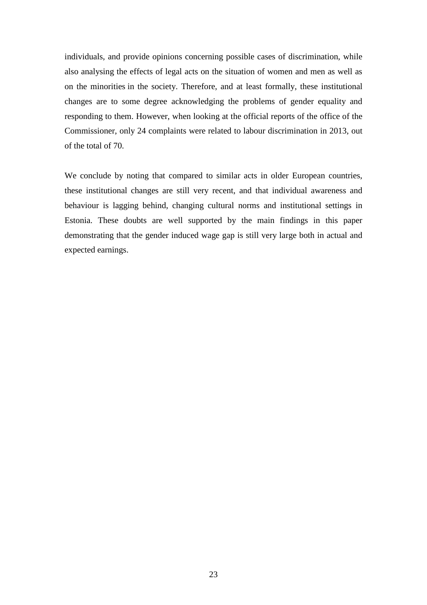individuals, and provide opinions concerning possible cases of discrimination, while also analysing the effects of legal acts on the situation of women and men as well as on the minorities in the society. Therefore, and at least formally, these institutional changes are to some degree acknowledging the problems of gender equality and responding to them. However, when looking at the official reports of the office of the Commissioner, only 24 complaints were related to labour discrimination in 2013, out of the total of 70.

We conclude by noting that compared to similar acts in older European countries, these institutional changes are still very recent, and that individual awareness and behaviour is lagging behind, changing cultural norms and institutional settings in Estonia. These doubts are well supported by the main findings in this paper demonstrating that the gender induced wage gap is still very large both in actual and expected earnings.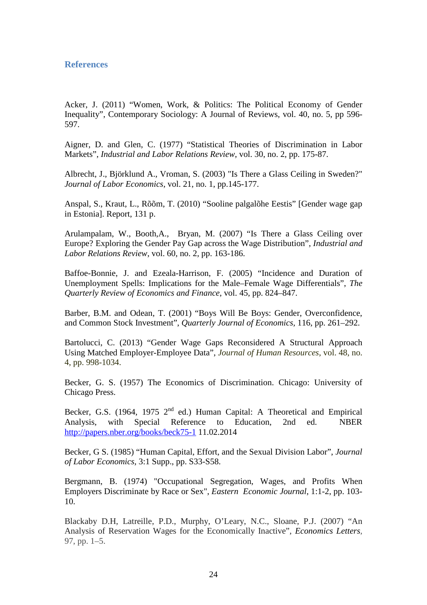#### **References**

Acker, J. (2011) "Women, Work, & Politics: The Political Economy of Gender Inequality", Contemporary Sociology: A Journal of Reviews, vol. 40, no. 5, pp 596- 597.

Aigner, D. and Glen, C. (1977) "Statistical Theories of Discrimination in Labor Markets", *Industrial and Labor Relations Review*, vol. 30, no. 2, pp. 175-87.

Albrecht, J., Björklund A., Vroman, S. (2003) "Is There a Glass Ceiling in Sweden?" *Journal of Labor Economics*, vol. 21, no. 1, pp.145-177.

Anspal, S., Kraut, L., Rõõm, T. (2010) "Sooline palgalõhe Eestis" [Gender wage gap in Estonia]. Report, 131 p.

Arulampalam, W., Booth,A., Bryan, M. (2007) "Is There a Glass Ceiling over Europe? Exploring the Gender Pay Gap across the Wage Distribution", *Industrial and Labor Relations Review*, vol. 60, no. 2, pp. 163-186.

Baffoe-Bonnie, J. and Ezeala-Harrison, F. (2005) "Incidence and Duration of Unemployment Spells: Implications for the Male–Female Wage Differentials", *The Quarterly Review of Economics and Finance*, vol. 45, pp. 824–847.

Barber, B.M. and Odean, T. (2001) "Boys Will Be Boys: Gender, Overconfidence, and Common Stock Investment", *Quarterly Journal of Economics,* 116, pp. 261–292.

Bartolucci, C. (2013) "Gender Wage Gaps Reconsidered A Structural Approach Using Matched Employer-Employee Data", *Journal of Human Resources*, vol. 48, no. 4, pp. 998-1034.

Becker, G. S. (1957) The Economics of Discrimination. Chicago: University of Chicago Press.

Becker, G.S. (1964, 1975  $2<sup>nd</sup>$  ed.) Human Capital: A Theoretical and Empirical Analysis, with Special Reference to Education, 2nd ed. NBER <http://papers.nber.org/books/beck75-1> 11.02.2014

Becker, G S. (1985) "Human Capital, Effort, and the Sexual Division Labor", *Journal of Labor Economics*, 3:1 Supp., pp. S33-S58.

Bergmann, B. (1974) "Occupational Segregation, Wages, and Profits When Employers Discriminate by Race or Sex", *Eastern Economic Journal*, 1:1-2, pp. 103- 10.

Blackaby D.H, Latreille, P.D., Murphy, O'Leary, N.C., Sloane, P.J. (2007) "An Analysis of Reservation Wages for the Economically Inactive", *Economics Letters*, 97, pp. 1–5.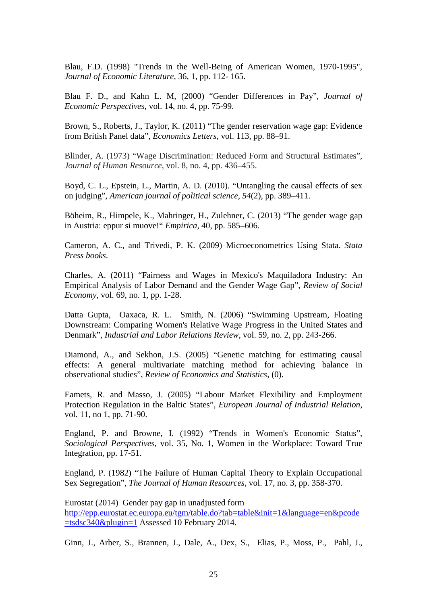Blau, F.D. (1998) "Trends in the Well-Being of American Women, 1970-1995", *Journal of Economic Literature*, 36, 1, pp. 112- 165.

Blau F. D., and Kahn L. M, (2000) "Gender Differences in Pay", *Journal of Economic Perspective*s, vol. 14, no. 4, pp. 75-99.

Brown, S., Roberts, J., Taylor, K. (2011) "The gender reservation wage gap: Evidence from British Panel data", *Economics Letters*, vol. 113, pp. 88–91.

Blinder, A. (1973) "Wage Discrimination: Reduced Form and Structural Estimates", *Journal of Human Resource*, vol. 8, no. 4, pp. 436–455.

Boyd, C. L., Epstein, L., Martin, A. D. (2010). "Untangling the causal effects of sex on judging", *American journal of political science*, *54*(2), pp. 389–411.

Böheim, R., Himpele, K., Mahringer, H., Zulehner, C. (2013) "The gender wage gap in Austria: eppur si muove!" *Empirica,* 40, pp. 585–606.

Cameron, A. C., and Trivedi, P. K. (2009) Microeconometrics Using Stata. *Stata Press books*.

Charles, A. (2011) "Fairness and Wages in Mexico's Maquiladora Industry: An Empirical Analysis of Labor Demand and the Gender Wage Gap", *Review of Social Economy*, vol. 69, no. 1, pp. 1-28.

Datta Gupta, Oaxaca, R. L. Smith, N. (2006) "Swimming Upstream, Floating Downstream: Comparing Women's Relative Wage Progress in the United States and Denmark", *Industrial and Labor Relations Review*, vol. 59, no. 2, pp. 243-266.

Diamond, A., and Sekhon, J.S. (2005) "Genetic matching for estimating causal effects: A general multivariate matching method for achieving balance in observational studies", *Review of Economics and Statistics*, (0).

Eamets, R. and Masso, J. (2005) "Labour Market Flexibility and Employment Protection Regulation in the Baltic States", *European Journal of Industrial Relation*, vol. 11, no 1, pp. 71-90.

England, P. and Browne, I. (1992) "Trends in Women's Economic Status", *Sociological Perspective*s, vol. 35, No. 1, Women in the Workplace: Toward True Integration, pp. 17-51.

England, P. (1982) "The Failure of Human Capital Theory to Explain Occupational Sex Segregation", *The Journal of Human Resources*, vol. 17, no. 3, pp. 358-370.

Eurostat (2014) Gender pay gap in unadjusted form [http://epp.eurostat.ec.europa.eu/tgm/table.do?tab=table&init=1&language=en&pcode](http://epp.eurostat.ec.europa.eu/tgm/table.do?tab=table&init=1&language=en&pcode=tsdsc340&plugin=1) [=tsdsc340&plugin=1](http://epp.eurostat.ec.europa.eu/tgm/table.do?tab=table&init=1&language=en&pcode=tsdsc340&plugin=1) Assessed 10 February 2014.

<span id="page-26-0"></span>Ginn, J., Arber, S., Brannen, J., Dale, A., Dex, S., Elias, P., Moss, P., Pahl, J.,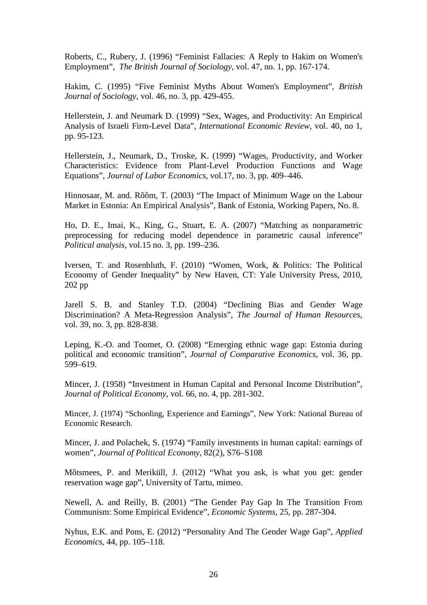Roberts, C., Rubery, J. (1996) "Feminist Fallacies: A Reply to Hakim on Women's Employment", *The British Journal of Sociology*, vol. 47, no. 1, pp. 167-174.

Hakim, C. (1995) "Five Feminist Myths About Women's Employment", *British Journal of Sociology,* vol. 46, no. 3, pp. 429-455.

Hellerstein, J. and Neumark D. (1999) "Sex, Wages, and Productivity: An Empirical Analysis of Israeli Firm-Level Data", *International Economic Review,* vol. 40, no 1, pp. 95-123.

Hellerstein, J., Neumark, D., Troske, K. (1999) "Wages, Productivity, and Worker Characteristics: Evidence from Plant-Level Production Functions and Wage Equations", *Journal of Labor Economics,* vol.17, no. 3, pp. 409–446.

Hinnosaar, M. and. Rõõm, T. (2003) "The Impact of Minimum Wage on the Labour Market in Estonia: An Empirical Analysis", Bank of Estonia, Working Papers, No. 8.

Ho, D. E., Imai, K., King, G., Stuart, E. A. (2007) "Matching as nonparametric preprocessing for reducing model dependence in parametric causal inference" *Political analysis*, vol.15 no. 3, pp. 199–236.

Iversen, T. and Rosenbluth, F. (2010) "Women, Work, & Politics: The Political Economy of Gender Inequality" by New Haven, CT: Yale University Press, 2010, 202 pp

Jarell S. B. and Stanley T.D. (2004) "Declining Bias and Gender Wage Discrimination? A Meta-Regression Analysis", *The Journal of Human Resources*, vol. 39, no. 3, pp. 828-838.

Leping, K.-O. and Toomet, O. (2008) "Emerging ethnic wage gap: Estonia during political and economic transition", *Journal of Comparative Economics*, vol. 36, pp. 599–619.

Mincer, J. (1958) "Investment in Human Capital and Personal Income Distribution", *Journal of Political Economy*, vol. 66, no. 4, pp. 281-302.

Mincer, J. (1974) "Schooling, Experience and Earnings", New York: National Bureau of Economic Research.

Mincer, J. and Polachek, S. (1974) "Family investments in human capital: earnings of women", *Journal of Political Economy*, 82(2), S76–S108

Mõtsmees, P. and Meriküll, J. (2012) "What you ask, is what you get: gender reservation wage gap", University of Tartu, mimeo.

Newell, A. and Reilly, B. (2001) "The Gender Pay Gap In The Transition From Communism: Some Empirical Evidence", *Economic Systems,* 25, pp. 287-304.

Nyhus, E.K. and Pons, E. (2012) "Personality And The Gender Wage Gap", *Applied Economics*, 44, pp. 105–118.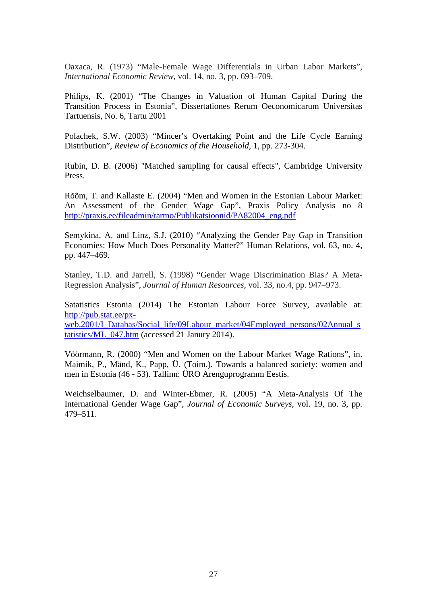Oaxaca, R. (1973) "Male-Female Wage Differentials in Urban Labor Markets", *International Economic Review,* vol. 14, no. 3, pp. 693–709.

Philips, K. (2001) "The Changes in Valuation of Human Capital During the Transition Process in Estonia", Dissertationes Rerum Oeconomicarum Universitas Tartuensis, No. 6, Tartu 2001

Polachek, S.W. (2003) "Mincer's Overtaking Point and the Life Cycle Earning Distribution", *Review of Economics of the Household,* 1, pp. 273-304.

Rubin, D. B. (2006) "Matched sampling for causal effects", Cambridge University Press.

Rõõm, T. and Kallaste E. (2004) "Men and Women in the Estonian Labour Market: An Assessment of the Gender Wage Gap", Praxis Policy Analysis no 8 [http://praxis.ee/fileadmin/tarmo/Publikatsioonid/PA82004\\_eng.pdf](http://praxis.ee/fileadmin/tarmo/Publikatsioonid/PA82004_eng.pdf)

Semykina, A. and Linz, S.J. (2010) "Analyzing the Gender Pay Gap in Transition Economies: How Much Does Personality Matter?" Human Relations, vol. 63, no. 4, pp. 447–469.

Stanley, T.D. and Jarrell, S. (1998) "Gender Wage Discrimination Bias? A Meta-Regression Analysis", *Journal of Human Resources,* vol. 33, no.4, pp. 947–973.

Satatistics Estonia (2014) The Estonian Labour Force Survey, available at: [http://pub.stat.ee/px](http://pub.stat.ee/px-web.2001/I_Databas/Social_life/09Labour_market/04Employed_persons/02Annual_statistics/ML_047.htm)[web.2001/I\\_Databas/Social\\_life/09Labour\\_market/04Employed\\_persons/02Annual\\_s](http://pub.stat.ee/px-web.2001/I_Databas/Social_life/09Labour_market/04Employed_persons/02Annual_statistics/ML_047.htm) [tatistics/ML\\_047.htm](http://pub.stat.ee/px-web.2001/I_Databas/Social_life/09Labour_market/04Employed_persons/02Annual_statistics/ML_047.htm) (accessed 21 Janury 2014).

[Vöörmann, R. \(2000\) "Men and Women on the Labour Market Wage Rations", in.](javascript:__doPostBack()  Maimik, P., [Mänd, K., Papp, Ü. \(Toim.\). Towards a balanced society: women and](javascript:__doPostBack()  men in Estonia (46 - [53\). Tallinn: ÜRO Arenguprogramm Eestis.](javascript:__doPostBack()

Weichselbaumer, D. and Winter-Ebmer, R. (2005) "A Meta-Analysis Of The International Gender Wage Gap", *Journal of Economic Surveys,* vol. 19, no. 3, pp. 479–511.